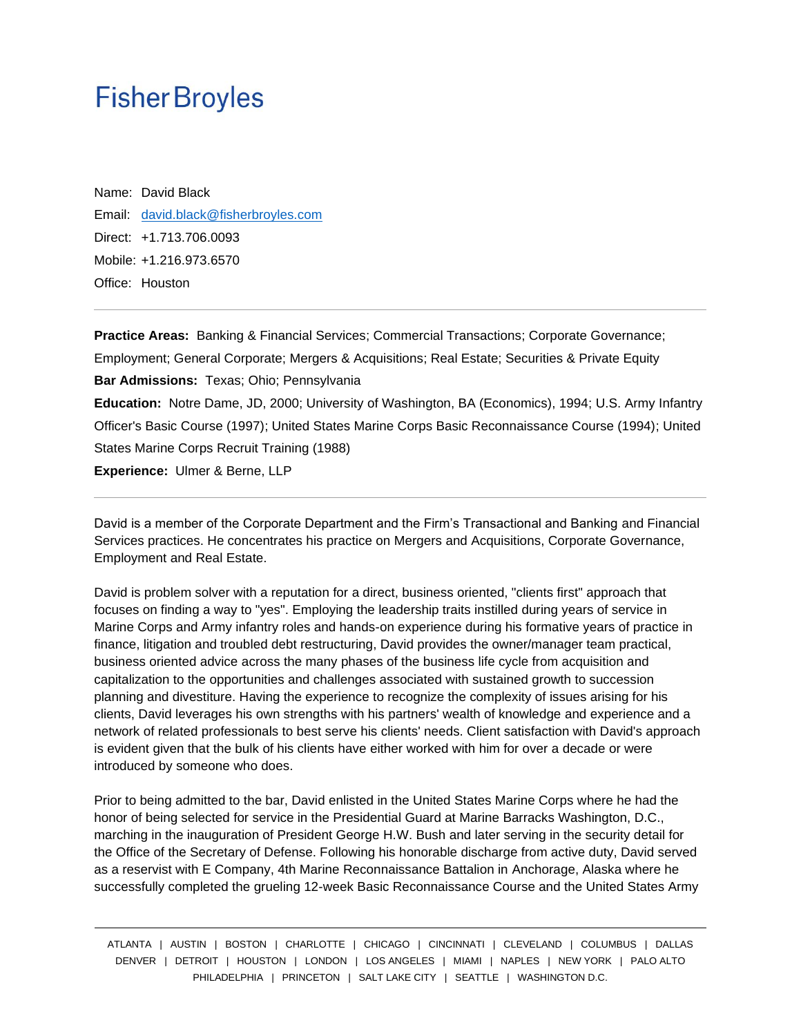# **Fisher Broyles**

Name: David Black Email: [david.black@fisherbroyles.com](mailto:david.black@fisherbroyles.com) Direct: +1.713.706.0093 Mobile: +1.216.973.6570 Office: Houston

**Practice Areas:** Banking & Financial Services; Commercial Transactions; Corporate Governance; Employment; General Corporate; Mergers & Acquisitions; Real Estate; Securities & Private Equity **Bar Admissions:** Texas; Ohio; Pennsylvania **Education:** Notre Dame, JD, 2000; University of Washington, BA (Economics), 1994; U.S. Army Infantry Officer's Basic Course (1997); United States Marine Corps Basic Reconnaissance Course (1994); United States Marine Corps Recruit Training (1988) **Experience:** Ulmer & Berne, LLP

David is a member of the Corporate Department and the Firm's Transactional and Banking and Financial Services practices. He concentrates his practice on Mergers and Acquisitions, Corporate Governance, Employment and Real Estate.

David is problem solver with a reputation for a direct, business oriented, "clients first" approach that focuses on finding a way to "yes". Employing the leadership traits instilled during years of service in Marine Corps and Army infantry roles and hands-on experience during his formative years of practice in finance, litigation and troubled debt restructuring, David provides the owner/manager team practical, business oriented advice across the many phases of the business life cycle from acquisition and capitalization to the opportunities and challenges associated with sustained growth to succession planning and divestiture. Having the experience to recognize the complexity of issues arising for his clients, David leverages his own strengths with his partners' wealth of knowledge and experience and a network of related professionals to best serve his clients' needs. Client satisfaction with David's approach is evident given that the bulk of his clients have either worked with him for over a decade or were introduced by someone who does.

Prior to being admitted to the bar, David enlisted in the United States Marine Corps where he had the honor of being selected for service in the Presidential Guard at Marine Barracks Washington, D.C., marching in the inauguration of President George H.W. Bush and later serving in the security detail for the Office of the Secretary of Defense. Following his honorable discharge from active duty, David served as a reservist with E Company, 4th Marine Reconnaissance Battalion in Anchorage, Alaska where he successfully completed the grueling 12-week Basic Reconnaissance Course and the United States Army

ATLANTA | AUSTIN | BOSTON | CHARLOTTE | CHICAGO | CINCINNATI | CLEVELAND | COLUMBUS | DALLAS DENVER | DETROIT | HOUSTON | LONDON | LOS ANGELES | MIAMI | NAPLES | NEW YORK | PALO ALTO PHILADELPHIA | PRINCETON | SALT LAKE CITY | SEATTLE | WASHINGTON D.C.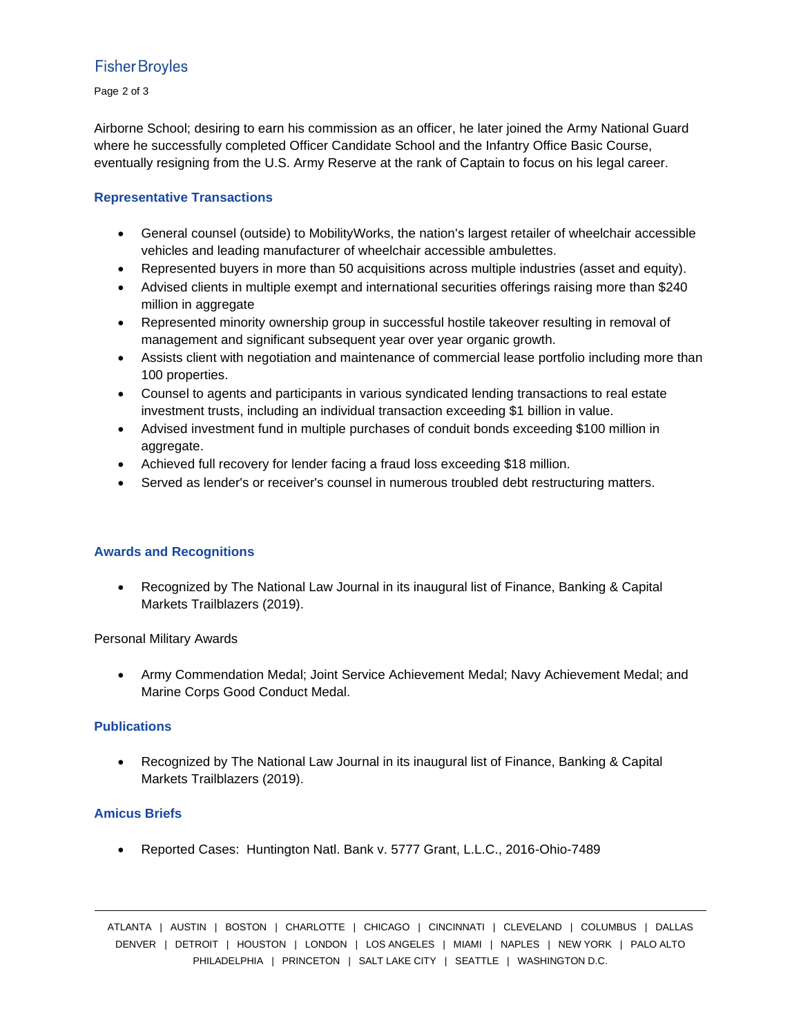### **Fisher Broyles**

Page 2 of 3

Airborne School; desiring to earn his commission as an officer, he later joined the Army National Guard where he successfully completed Officer Candidate School and the Infantry Office Basic Course, eventually resigning from the U.S. Army Reserve at the rank of Captain to focus on his legal career.

#### **Representative Transactions**

- General counsel (outside) to MobilityWorks, the nation's largest retailer of wheelchair accessible vehicles and leading manufacturer of wheelchair accessible ambulettes.
- Represented buyers in more than 50 acquisitions across multiple industries (asset and equity).
- Advised clients in multiple exempt and international securities offerings raising more than \$240 million in aggregate
- Represented minority ownership group in successful hostile takeover resulting in removal of management and significant subsequent year over year organic growth.
- Assists client with negotiation and maintenance of commercial lease portfolio including more than 100 properties.
- Counsel to agents and participants in various syndicated lending transactions to real estate investment trusts, including an individual transaction exceeding \$1 billion in value.
- Advised investment fund in multiple purchases of conduit bonds exceeding \$100 million in aggregate.
- Achieved full recovery for lender facing a fraud loss exceeding \$18 million.
- Served as lender's or receiver's counsel in numerous troubled debt restructuring matters.

#### **Awards and Recognitions**

• Recognized by The National Law Journal in its inaugural list of Finance, Banking & Capital Markets Trailblazers (2019).

Personal Military Awards

• Army Commendation Medal; Joint Service Achievement Medal; Navy Achievement Medal; and Marine Corps Good Conduct Medal.

#### **Publications**

• Recognized by The National Law Journal in its inaugural list of Finance, Banking & Capital Markets Trailblazers (2019).

#### **Amicus Briefs**

• Reported Cases: Huntington Natl. Bank v. 5777 Grant, L.L.C., 2016-Ohio-7489

ATLANTA | AUSTIN | BOSTON | CHARLOTTE | CHICAGO | CINCINNATI | CLEVELAND | COLUMBUS | DALLAS DENVER | DETROIT | HOUSTON | LONDON | LOS ANGELES | MIAMI | NAPLES | NEW YORK | PALO ALTO PHILADELPHIA | PRINCETON | SALT LAKE CITY | SEATTLE | WASHINGTON D.C.